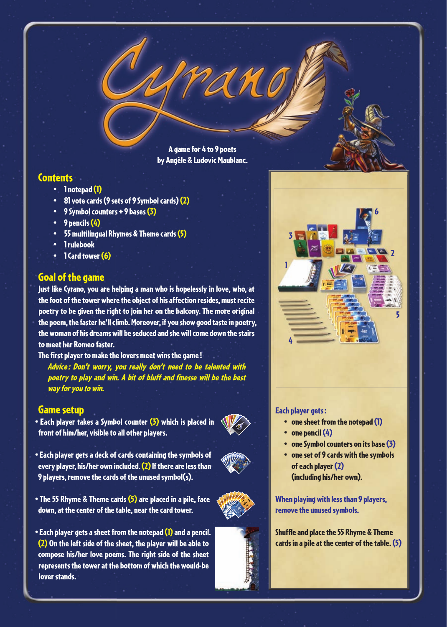A game for 4 to 9 poets by Angèle & Ludovic Maublanc.

# **Contents**

- 1 notepad (1)
- 81 vote cards (9 sets of 9 Symbol cards) (2)
- 9 Symbol counters + 9 bases (3)
- 9 pencils (4)
- 55 multilingual Rhymes & Theme cards (5)
- 1 rulebook
- 1 Card tower (6)

# Goal of the game

Just like Cyrano, you are helping a man who is hopelessly in love, who, at the foot of the tower where the object of his affection resides, must recite poetry to be given the right to join her on the balcony. The more original the poem, the faster he'll climb. Moreover, if you show good taste in poetry, the woman of his dreams will be seduced and she will come down the stairs to meet her Romeo faster.

The first player to make the lovers meet wins the game!

Advice : Don't worry, you really don't need to be talented with poetry to play and win. A bit of bluff and finesse will be the best way for you to win.

## Game setup

- Each player takes a Symbol counter (3) which is placed in front of him/her, visible to all other players.
- 
- Each player gets a deck of cards containing the symbols of every player, his/her own included. (2) If there are less than 9 players, remove the cards of the unused symbol(s).
- The 55 Rhyme & Theme cards (5) are placed in a pile, face down, at the center of the table, near the card tower.
- Each player gets a sheet from the notepad (1) and a pencil. (2) On the left side of the sheet, the player will be able to compose his/her love poems. The right side of the sheet represents the tower at the bottom of which the would-be lover stands.



### Each player gets :

- one sheet from the notepad (1)
- one pencil (4)
- one Symbol counters on its base (3)
- one set of 9 cards with the symbols of each player (2) (including his/her own).

When playing with less than 9 players, remove the unused symbols.



Shuffle and place the 55 Rhyme & Theme cards in a pile at the center of the table. (5)



…charrier

 $\mathbb{Z}$ -ier  $\mathbb{Z}$  $\sim$ …charrier -ier …cahier  $\Huge{\sum}$ -ier  $\mathcal{L}$ …cahier  $\Delta$ -ier Liebe  $\boldsymbol{r}$  $\mathcal{L}$  $\phi$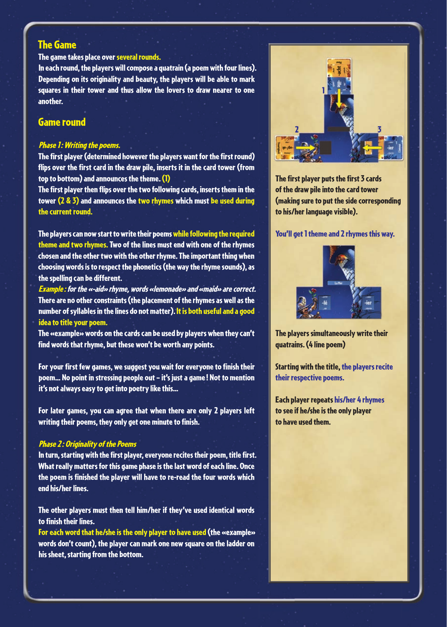# The Game

## The game takes place over several rounds.

In each round, the players will compose a quatrain (a poem with four lines). Depending on its originality and beauty, the players will be able to mark squares in their tower and thus allow the lovers to draw nearer to one another.

## Game round

#### Phase 1: Writing the poems.

The first player (determined however the players want for the first round) flips over the first card in the draw pile, inserts it in the card tower (from top to bottom) and announces the theme. (1)

The first player then flips over the two following cards, inserts them in the tower  $(2 \& 3)$  and announces the two rhymes which must be used during the current round.

The players can now start to write their poems while following the required theme and two rhymes. Two of the lines must end with one of the rhymes chosen and the other two with the other rhyme. The important thing when choosing words is to respect the phonetics (the way the rhyme sounds), as the spelling can be different.

Example : for the «-aid» rhyme, words «lemonade» and «maid» are correct. There are no other constraints (the placement of the rhymes as well as the number of syllables in the lines do not matter). It is both useful and a good idea to title your poem.

The «example» words on the cards can be used by players when they can't find words that rhyme, but these won't be worth any points.

For your first few games, we suggest you wait for everyone to finish their poem… No point in stressing people out – it's just a game ! Not to mention it's not always easy to get into poetry like this…

For later games, you can agree that when there are only 2 players left writing their poems, they only get one minute to finish.

#### Phase 2: Originality of the Poems

In turn, starting with the first player, everyone recites their poem, title first. What really matters for this game phase is the last word of each line. Once the poem is finished the player will have to re-read the four words which end his/her lines.

The other players must then tell him/her if they've used identical words to finish their lines.

For each word that he/she is the only player to have used (the «example» words don't count), the player can mark one new square on the ladder on his sheet, starting from the bottom.



The first player puts the first 3 cards of the draw pile into the card tower (making sure to put the side corresponding to his/her language visible).

### You'll get 1 theme and 2 rhymes this way.



The players simultaneously write their quatrains. (4 line poem)

Starting with the title, the players recite their respective poems.

Each player repeats his/her 4 rhymes to see if he/she is the only player to have used them.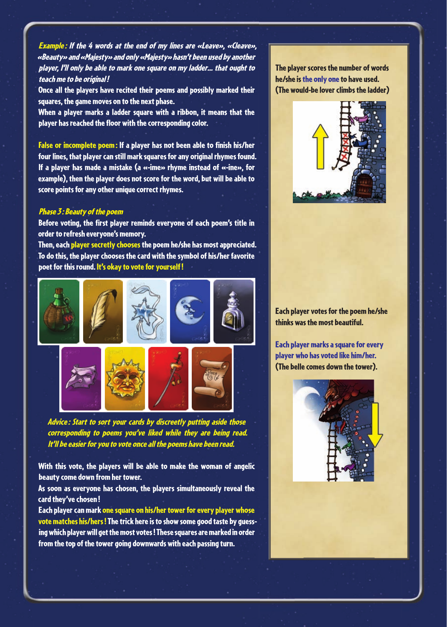Example : If the 4 words at the end of my lines are «Leave», «Cleave», «Beauty» and «Majesty» and only «Majesty» hasn't been used by another player, I'll only be able to mark one square on my ladder… that ought to teach me to be original !

Once all the players have recited their poems and possibly marked their squares, the game moves on to the next phase.

When a player marks a ladder square with a ribbon, it means that the player has reached the floor with the corresponding color.

False or incomplete poem: If a player has not been able to finish his/her four lines, that player can still mark squares for any original rhymes found. If a player has made a mistake (a «-ime» rhyme instead of «-ine», for example), then the player does not score for the word, but will be able to score points for any other unique correct rhymes.

#### Phase 3: Beauty of the poem

Before voting, the first player reminds everyone of each poem's title in order to refresh everyone's memory.

Then, each player secretly chooses the poem he/she has most appreciated. To do this, the player chooses the card with the symbol of his/her favorite poet for this round. It's okay to vote for yourself !



Advice : Start to sort your cards by discreetly putting aside those corresponding to poems you've liked while they are being read. It'll be easier for you to vote once all the poems have been read.

With this vote, the players will be able to make the woman of angelic beauty come down from her tower.

As soon as everyone has chosen, the players simultaneously reveal the card they've chosen !

Each player can mark one square on his/her tower for every player whose vote matches his/hers ! The trick here is to show some good taste by guessing which player will get the most votes ! These squares are marked in order from the top of the tower going downwards with each passing turn.

The player scores the number of words he/she is the only one to have used. (The would-be lover climbs the ladder)



Each player votes for the poem he/she thinks was the most beautiful.

Each player marks a square for every player who has voted like him/her. (The belle comes down the tower).